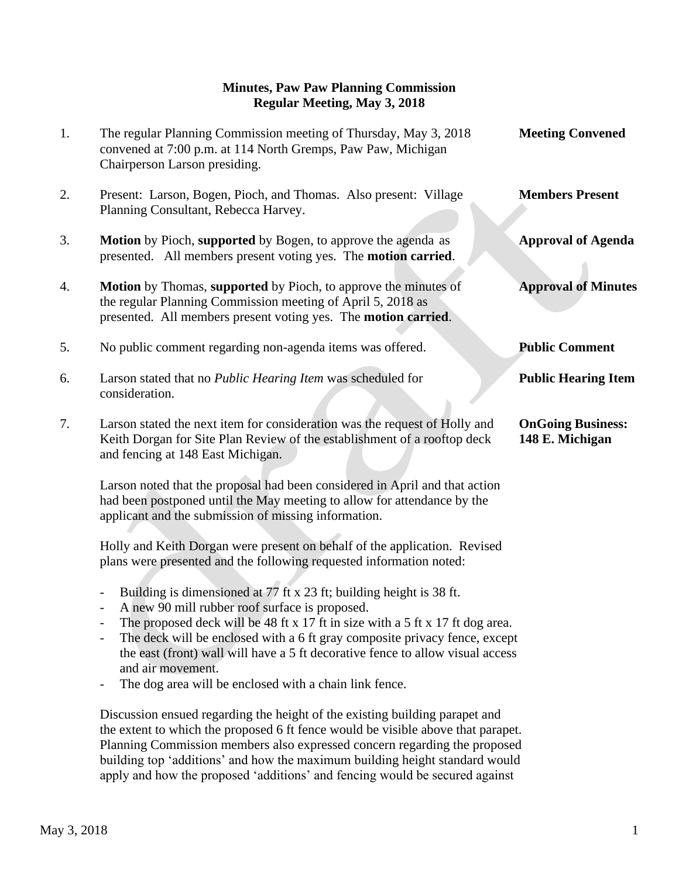## **Minutes, Paw Paw Planning Commission Regular Meeting, May 3, 2018**

| 1. | The regular Planning Commission meeting of Thursday, May 3, 2018<br>convened at 7:00 p.m. at 114 North Gremps, Paw Paw, Michigan<br>Chairperson Larson presiding.                                              | <b>Meeting Convened</b>                     |
|----|----------------------------------------------------------------------------------------------------------------------------------------------------------------------------------------------------------------|---------------------------------------------|
| 2. | Present: Larson, Bogen, Pioch, and Thomas. Also present: Village<br>Planning Consultant, Rebecca Harvey.                                                                                                       | <b>Members Present</b>                      |
| 3. | Motion by Pioch, supported by Bogen, to approve the agenda as<br>presented. All members present voting yes. The motion carried.                                                                                | <b>Approval of Agenda</b>                   |
| 4. | Motion by Thomas, supported by Pioch, to approve the minutes of<br>the regular Planning Commission meeting of April 5, 2018 as<br>presented. All members present voting yes. The motion carried.               | <b>Approval of Minutes</b>                  |
| 5. | No public comment regarding non-agenda items was offered.                                                                                                                                                      | <b>Public Comment</b>                       |
| 6. | Larson stated that no Public Hearing Item was scheduled for<br>consideration.                                                                                                                                  | <b>Public Hearing Item</b>                  |
| 7. | Larson stated the next item for consideration was the request of Holly and<br>Keith Dorgan for Site Plan Review of the establishment of a rooftop deck<br>and fencing at 148 East Michigan.                    | <b>OnGoing Business:</b><br>148 E. Michigan |
|    | Larson noted that the proposal had been considered in April and that action<br>had been postponed until the May meeting to allow for attendance by the<br>applicant and the submission of missing information. |                                             |
|    | Holly and Keith Dorgan were present on behalf of the application. Revised<br>plans were presented and the following requested information noted:                                                               |                                             |

- Building is dimensioned at 77 ft x 23 ft; building height is 38 ft.
- A new 90 mill rubber roof surface is proposed.
- The proposed deck will be 48 ft x 17 ft in size with a 5 ft x 17 ft dog area.<br>- The deck will be enclosed with a 6 ft gray composite privacy fence except
- The deck will be enclosed with a 6 ft gray composite privacy fence, except the east (front) wall will have a 5 ft decorative fence to allow visual access and air movement.
- The dog area will be enclosed with a chain link fence.

Discussion ensued regarding the height of the existing building parapet and the extent to which the proposed 6 ft fence would be visible above that parapet. Planning Commission members also expressed concern regarding the proposed building top 'additions' and how the maximum building height standard would apply and how the proposed 'additions' and fencing would be secured against